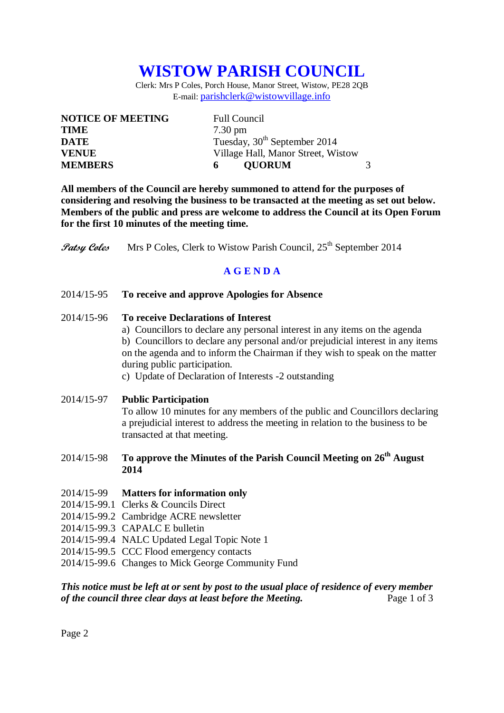# **WISTOW PARISH COUNCIL**

Clerk: Mrs P Coles, Porch House, Manor Street, Wistow, PE28 2QB E-mail: [parishclerk@wistowvillage.info](mailto:parishclerk@wistowvillage.info)

| <b>NOTICE OF MEETING</b> | <b>Full Council</b>                      |  |
|--------------------------|------------------------------------------|--|
| <b>TIME</b>              | $7.30 \text{ pm}$                        |  |
| <b>DATE</b>              | Tuesday, 30 <sup>th</sup> September 2014 |  |
| <b>VENUE</b>             | Village Hall, Manor Street, Wistow       |  |
| <b>MEMBERS</b>           | <b>OUORUM</b><br>6.                      |  |

**All members of the Council are hereby summoned to attend for the purposes of considering and resolving the business to be transacted at the meeting as set out below. Members of the public and press are welcome to address the Council at its Open Forum for the first 10 minutes of the meeting time.**

**Patsy Coles** Mrs P Coles, Clerk to Wistow Parish Council, 25<sup>th</sup> September 2014

# **A G E N D A**

- 2014/15-95 **To receive and approve Apologies for Absence**
- 2014/15-96 **To receive Declarations of Interest**
	- a) Councillors to declare any personal interest in any items on the agenda b) Councillors to declare any personal and/or prejudicial interest in any items on the agenda and to inform the Chairman if they wish to speak on the matter during public participation.
	- c) Update of Declaration of Interests -2 outstanding
- 2014/15-97 **Public Participation**

To allow 10 minutes for any members of the public and Councillors declaring a prejudicial interest to address the meeting in relation to the business to be transacted at that meeting.

- 2014/15-98 **To approve the Minutes of the Parish Council Meeting on 26 th August 2014**
- 2014/15-99 **Matters for information only**
- 2014/15-99.1 Clerks & Councils Direct
- 2014/15-99.2 Cambridge ACRE newsletter
- 2014/15-99.3 CAPALC E bulletin
- 2014/15-99.4 NALC Updated Legal Topic Note 1
- 2014/15-99.5 CCC Flood emergency contacts
- 2014/15-99.6 Changes to Mick George Community Fund

*This notice must be left at or sent by post to the usual place of residence of every member of the council three clear days at least before the Meeting.* Page 1 of 3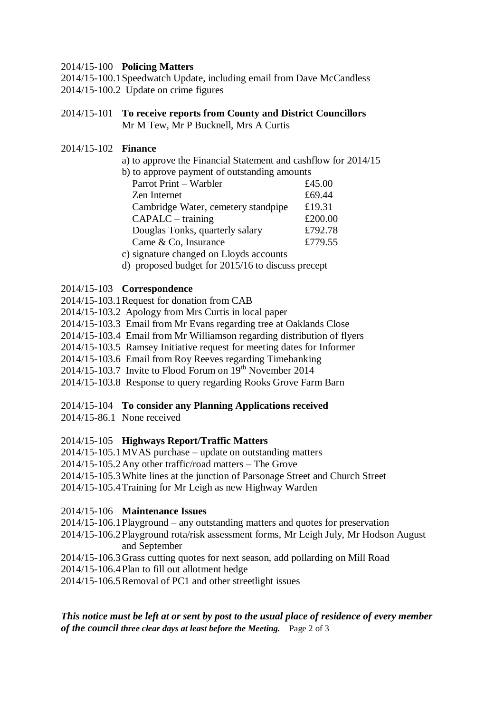#### 2014/15-100 **Policing Matters**

2014/15-100.1Speedwatch Update, including email from Dave McCandless 2014/15-100.2 Update on crime figures

2014/15-101 **To receive reports from County and District Councillors** Mr M Tew, Mr P Bucknell, Mrs A Curtis

## 2014/15-102 **Finance**

- a) to approve the Financial Statement and cashflow for 2014/15
- b) to approve payment of outstanding amounts

| Parrot Print – Warbler              | £45.00  |
|-------------------------------------|---------|
| Zen Internet                        | £69.44  |
| Cambridge Water, cemetery standpipe | £19.31  |
| $CAPALC - training$                 | £200.00 |
| Douglas Tonks, quarterly salary     | £792.78 |
| Came & Co, Insurance                | £779.55 |
|                                     |         |

c) signature changed on Lloyds accounts

d) proposed budget for 2015/16 to discuss precept

## 2014/15-103 **Correspondence**

- 2014/15-103.1Request for donation from CAB
- 2014/15-103.2 Apology from Mrs Curtis in local paper
- 2014/15-103.3 Email from Mr Evans regarding tree at Oaklands Close
- 2014/15-103.4 Email from Mr Williamson regarding distribution of flyers
- 2014/15-103.5 Ramsey Initiative request for meeting dates for Informer
- 2014/15-103.6 Email from Roy Reeves regarding Timebanking
- $2014/15$ -103.7 Invite to Flood Forum on  $19<sup>th</sup>$  November 2014
- 2014/15-103.8 Response to query regarding Rooks Grove Farm Barn

# 2014/15-104 **To consider any Planning Applications received**

2014/15-86.1 None received

# 2014/15-105 **Highways Report/Traffic Matters**

- 2014/15-105.1MVAS purchase update on outstanding matters
- 2014/15-105.2Any other traffic/road matters The Grove
- 2014/15-105.3White lines at the junction of Parsonage Street and Church Street

2014/15-105.4Training for Mr Leigh as new Highway Warden

# 2014/15-106 **Maintenance Issues**

- 2014/15-106.1Playground any outstanding matters and quotes for preservation
- 2014/15-106.2Playground rota/risk assessment forms, Mr Leigh July, Mr Hodson August and September
- 2014/15-106.3Grass cutting quotes for next season, add pollarding on Mill Road
- 2014/15-106.4Plan to fill out allotment hedge
- 2014/15-106.5Removal of PC1 and other streetlight issues

*This notice must be left at or sent by post to the usual place of residence of every member of the council three clear days at least before the Meeting.* Page 2 of 3